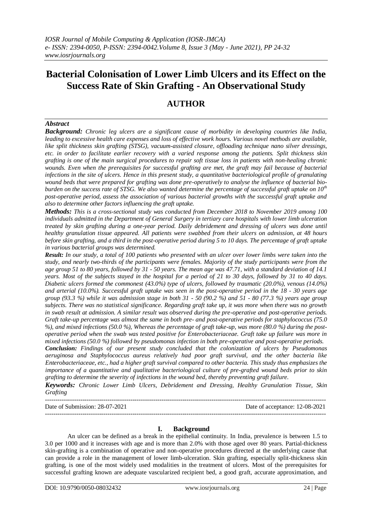# **Bacterial Colonisation of Lower Limb Ulcers and its Effect on the Success Rate of Skin Grafting - An Observational Study**

## **AUTHOR**

## *Abstract*

*Background: Chronic leg ulcers are a significant cause of morbidity in developing countries like India, leading to excessive health care expenses and loss of effective work hours. Various novel methods are available, like split thickness skin grafting (STSG), vacuum-assisted closure, offloading technique nano silver dressings, etc. in order to facilitate earlier recovery with a varied response among the patients. Split thickness skin grafting is one of the main surgical procedures to repair soft tissue loss in patients with non-healing chronic wounds. Even when the prerequisites for successful grafting are met, the graft may fail because of bacterial infections in the site of ulcers. Hence in this present study, a quantitative bacteriological profile of granulating wound beds that were prepared for grafting was done pre-operatively to analyse the influence of bacterial bioburden on the success rate of STSG. We also wanted determine the percentage of successful graft uptake on 10th post-operative period, assess the association of various bacterial growths with the successful graft uptake and also to determine other factors influencing the graft uptake.*

*Methods: This is a cross-sectional study was conducted from December 2018 to November 2019 among 100 individuals admitted in the Department of General Surgery in tertiary care hospitals with lower limb ulceration treated by skin grafting during a one-year period. Daily debridement and dressing of ulcers was done until healthy granulation tissue appeared. All patients were swabbed from their ulcers on admission, at 48 hours before skin grafting, and a third in the post-operative period during 5 to 10 days. The percentage of graft uptake in various bacterial groups was determined.*

*Result: In our study, a total of 100 patients who presented with an ulcer over lower limbs were taken into the study, and nearly two-thirds of the participants were females. Majority of the study participants were from the age group 51 to 80 years, followed by 31 - 50 years. The mean age was 47.71, with a standard deviation of 14.1 years. Most of the subjects stayed in the hospital for a period of 21 to 30 days, followed by 31 to 40 days. Diabetic ulcers formed the commonest (43.0%) type of ulcers, followed by traumatic (20.0%), venous (14.0%) and arterial (10.0%). Successful graft uptake was seen in the post-operative period in the 18 - 30 years age group (93.3 %) while it was admission stage in both 31 - 50 (90.2 %) and 51 - 80 (77.3 %) years age group subjects. There was no statistical significance. Regarding graft take up, it was more when there was no growth in swab result at admission. A similar result was observed during the pre-operative and post-operative periods. Graft take-up percentage was almost the same in both pre- and post-operative periods for staphylococcus (75.0 %), and mixed infections (50.0 %), Whereas the percentage of graft take-up, was more (80.0 %) during the postoperative period when the swab was tested positive for Enterobacteriaceae. Graft take up failure was more in mixed infections (50.0 %) followed by pseudomonas infection in both pre-operative and post-operative periods.*

*Conclusion: Findings of our present study concluded that the colonization of ulcers by Pseudomonas aeruginosa and Staphylococcus aureus relatively had poor graft survival, and the other bacteria like Enterobacteriaceae, etc., had a higher graft survival compared to other bacteria. This study thus emphasizes the importance of a quantitative and qualitative bacteriological culture of pre-grafted wound beds prior to skin grafting to determine the severity of infections in the wound bed, thereby preventing graft failure.*

*Keywords: Chronic Lower Limb Ulcers, Debridement and Dressing, Healthy Granulation Tissue, Skin Grafting* ---------------------------------------------------------------------------------------------------------------------------------------

Date of Submission: 28-07-2021 Date of acceptance: 12-08-2021

---------------------------------------------------------------------------------------------------------------------------------------

## **I. Background**

An ulcer can be defined as a break in the epithelial continuity. In India, prevalence is between 1.5 to 3.0 per 1000 and it increases with age and is more than 2.0% with those aged over 80 years. Partial-thickness skin-grafting is a combination of operative and non-operative procedures directed at the underlying cause that can provide a role in the management of lower limb-ulceration. Skin grafting, especially split-thickness skin grafting, is one of the most widely used modalities in the treatment of ulcers. Most of the prerequisites for successful grafting known are adequate vascularized recipient bed, a good graft, accurate approximation, and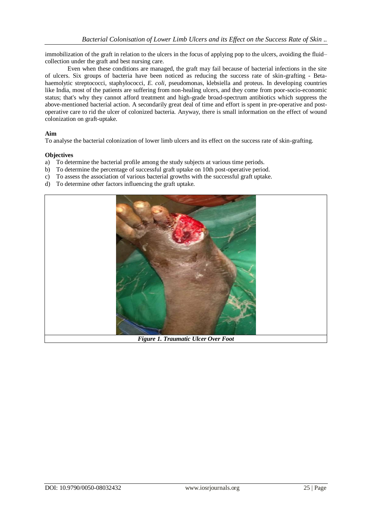immobilization of the graft in relation to the ulcers in the focus of applying pop to the ulcers, avoiding the fluid– collection under the graft and best nursing care.

Even when these conditions are managed, the graft may fail because of bacterial infections in the site of ulcers. Six groups of bacteria have been noticed as reducing the success rate of skin-grafting - Betahaemolytic streptococci, staphylococci, *E. coli*, pseudomonas, klebsiella and proteus. In developing countries like India, most of the patients are suffering from non-healing ulcers, and they come from poor-socio-economic status; that's why they cannot afford treatment and high-grade broad-spectrum antibiotics which suppress the above-mentioned bacterial action. A secondarily great deal of time and effort is spent in pre-operative and postoperative care to rid the ulcer of colonized bacteria. Anyway, there is small information on the effect of wound colonization on graft-uptake.

#### **Aim**

To analyse the bacterial colonization of lower limb ulcers and its effect on the success rate of skin-grafting.

#### **Objectives**

- a) To determine the bacterial profile among the study subjects at various time periods.
- b) To determine the percentage of successful graft uptake on 10th post-operative period.
- c) To assess the association of various bacterial growths with the successful graft uptake.
- d) To determine other factors influencing the graft uptake.



*Figure 1. Traumatic Ulcer Over Foot*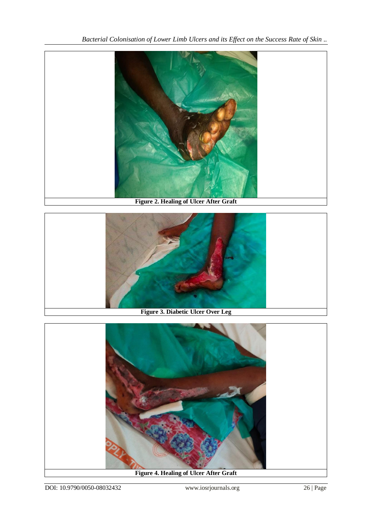*Bacterial Colonisation of Lower Limb Ulcers and its Effect on the Success Rate of Skin ..*





**Figure 3. Diabetic Ulcer Over Leg**



**Figure 4. Healing of Ulcer After Graft**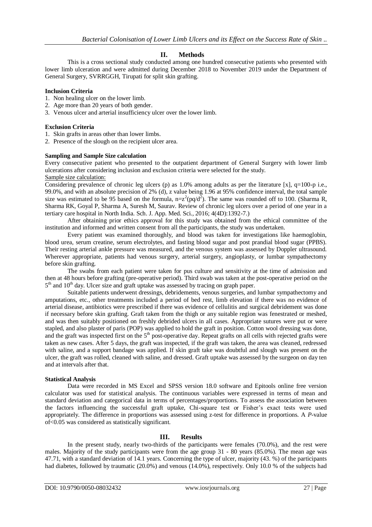## **II. Methods**

This is a cross sectional study conducted among one hundred consecutive patients who presented with lower limb ulceration and were admitted during December 2018 to November 2019 under the Department of General Surgery, SVRRGGH, Tirupati for split skin grafting.

#### **Inclusion Criteria**

- 1. Non healing ulcer on the lower limb.
- 2. Age more than 20 years of both gender.
- 3. Venous ulcer and arterial insufficiency ulcer over the lower limb.

#### **Exclusion Criteria**

- 1. Skin grafts in areas other than lower limbs.
- 2. Presence of the slough on the recipient ulcer area.

#### **Sampling and Sample Size calculation**

Every consecutive patient who presented to the outpatient department of General Surgery with lower limb ulcerations after considering inclusion and exclusion criteria were selected for the study. Sample size calculation:

Considering prevalence of chronic leg ulcers (p) as 1.0% among adults as per the literature  $[x]$ , q=100-p i.e., 99.0%, and with an absolute precision of 2% (d), z value being 1.96 at 95% confidence interval, the total sample size was estimated to be 95 based on the formula,  $n=z^2(pq/d^2)$ . The same was rounded off to 100. (Sharma R, Sharma RK, Goyal P, Sharma A, Suresh M, Saurav. Review of chronic leg ulcers over a period of one year in a tertiary care hospital in North India. Sch. J. App. Med. Sci., 2016; 4(4D):1392-7.)

After obtaining prior ethics approval for this study was obtained from the ethical committee of the institution and informed and written consent from all the participants, the study was undertaken.

Every patient was examined thoroughly, and blood was taken for investigations like haemoglobin, blood urea, serum creatine, serum electrolytes, and fasting blood sugar and post prandial blood sugar (PPBS). Their resting arterial ankle pressure was measured, and the venous system was assessed by Doppler ultrasound. Wherever appropriate, patients had venous surgery, arterial surgery, angioplasty, or lumbar sympathectomy before skin grafting.

The swabs from each patient were taken for pus culture and sensitivity at the time of admission and then at 48 hours before grafting (pre-operative period). Third swab was taken at the post-operative period on the 5<sup>th</sup> and 10<sup>th</sup> day. Ulcer size and graft uptake was assessed by tracing on graph paper.

Suitable patients underwent dressings, debridements, venous surgeries, and lumbar sympathectomy and amputations, etc., other treatments included a period of bed rest, limb elevation if there was no evidence of arterial disease, antibiotics were prescribed if there was evidence of cellulitis and surgical debridement was done if necessary before skin grafting. Graft taken from the thigh or any suitable region was fenestrated or meshed, and was then suitably positioned on freshly debrided ulcers in all cases. Appropriate sutures were put or were stapled, and also plaster of paris (POP) was applied to hold the graft in position. Cotton wool dressing was done, and the graft was inspected first on the  $5<sup>th</sup>$  post-operative day. Repeat grafts on all cells with rejected grafts were taken as new cases. After 5 days, the graft was inspected, if the graft was taken, the area was cleaned, redressed with saline, and a support bandage was applied. If skin graft take was doubtful and slough was present on the ulcer, the graft was rolled, cleaned with saline, and dressed. Graft uptake was assessed by the surgeon on day ten and at intervals after that.

#### **Statistical Analysis**

Data were recorded in MS Excel and SPSS version 18.0 software and Epitools online free version calculator was used for statistical analysis. The continuous variables were expressed in terms of mean and standard deviation and categorical data in terms of percentages/proportions. To assess the association between the factors influencing the successful graft uptake, Chi-square test or Fisher's exact tests were used appropriately. The difference in proportions was assessed using z-test for difference in proportions. A *P*-value of<0.05 was considered as statistically significant.

## **III. Results**

In the present study, nearly two-thirds of the participants were females (70.0%), and the rest were males. Majority of the study participants were from the age group 31 - 80 years (85.0%). The mean age was 47.71, with a standard deviation of 14.1 years. Concerning the type of ulcer, majority (43. %) of the participants had diabetes, followed by traumatic (20.0%) and venous (14.0%), respectively. Only 10.0 % of the subjects had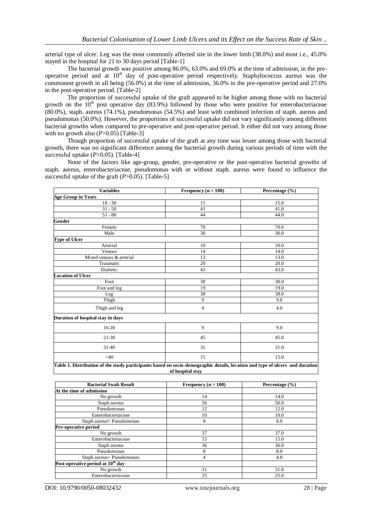arterial type of ulcer. Leg was the most commonly affected site in the lower limb (38.0%) and most i.e., 45.0% stayed in the hospital for 21 to 30 days period [Table-1]

The bacterial growth was positive among 86.0%, 63.0% and 69.0% at the time of admission, in the preoperative period and at  $10<sup>th</sup>$  day of post-operative period respectively. Staphylococcus aureus was the commonest growth in all being (56.0%) at the time of admission, 36.0% in the pre-operative period and 27.0% in the post-operative period. [Table-2]

The proportion of successful uptake of the graft appeared to be higher among those with no bacterial growth on the  $10<sup>th</sup>$  post operative day (83.9%) followed by those who were positive for enterobacteriaceae (80.0%), staph. aureus (74.1%), pseudomonas (54.5%) and least with combined infection of staph. aureus and pseudomonas (50.0%). However, the proportions of successful uptake did not vary significantly among different bacterial growths when compared to pre-operative and post-operative period. It either did not vary among those with no growth also  $(P>0.05)$  [Table-3]

Though proportion of successful uptake of the graft at any time was lesser among those with bacterial growth, there was no significant difference among the bacterial growth during various periods of time with the successful uptake (*P*>0.05). [Table-4]

None of the factors like age-group, gender, pre-operative or the post-operative bacterial growths of staph. aureus, enterobacteriaceae, pseudomonas with or without staph. aureus were found to influence the successful uptake of the graft  $(P>0.05)$ . [Table-5]

| <b>Variables</b>                                                                                                                                 | Frequency ( $n = 100$ ) | Percentage (%) |  |  |
|--------------------------------------------------------------------------------------------------------------------------------------------------|-------------------------|----------------|--|--|
| <b>Age Group in Years</b>                                                                                                                        |                         |                |  |  |
| $18 - 30$                                                                                                                                        | 15                      | 15.0           |  |  |
| $31 - 50$                                                                                                                                        | 41                      | 41.0           |  |  |
| $51 - 80$                                                                                                                                        | 44                      | 44.0           |  |  |
| Gender                                                                                                                                           |                         |                |  |  |
| Female                                                                                                                                           | 70                      | 70.0           |  |  |
| Male                                                                                                                                             | 30                      | 30.0           |  |  |
| <b>Type of Ulcer</b>                                                                                                                             |                         |                |  |  |
| Arterial                                                                                                                                         | 10                      | 10.0           |  |  |
| Venous                                                                                                                                           | 14                      | 14.0           |  |  |
| Mixed venous & arterial                                                                                                                          | 13                      | 13.0           |  |  |
| Traumatic                                                                                                                                        | 20                      | 20.0           |  |  |
| Diabetic                                                                                                                                         | 43                      | 43.0           |  |  |
| <b>Location of Ulcer</b>                                                                                                                         |                         |                |  |  |
| Foot                                                                                                                                             | 30                      | 30.0           |  |  |
| Foot and leg                                                                                                                                     | 19                      | 19.0           |  |  |
| Leg                                                                                                                                              | 38                      | 38.0           |  |  |
| Thigh                                                                                                                                            | 9                       | 9.0            |  |  |
| Thigh and leg                                                                                                                                    | 4                       | 4.0            |  |  |
| Duration of hospital stay in days                                                                                                                |                         |                |  |  |
| 16-20                                                                                                                                            | 9                       | 9.0            |  |  |
| $21 - 30$                                                                                                                                        | 45                      | 45.0           |  |  |
| $31 - 40$                                                                                                                                        | 31                      | 31.0           |  |  |
| >40                                                                                                                                              | 15                      | 15.0           |  |  |
| Table 1. Distribution of the study participants based on socio-demographic details, location and type of ulcers and duration<br>of hospital stay |                         |                |  |  |

| <b>Bacterial Swab Result</b>                  | Frequency $(n = 100)$ | Percentage $(\% )$ |
|-----------------------------------------------|-----------------------|--------------------|
| At the time of admission                      |                       |                    |
| No growth                                     | 14                    | 14.0               |
| Staph aureus                                  | 56                    | 56.0               |
| Pseudomonas                                   | 12                    | 12.0               |
| Enterobacteriaceae                            | 10                    | 10.0               |
| Staph aureus+ Pseudomonas                     | 8                     | 8.0                |
| <b>Pre-operative period</b>                   |                       |                    |
| No growth                                     | 37                    | 37.0               |
| Enterobacteriaceae                            | 15                    | 15.0               |
| Staph aureus                                  | 36                    | 36.0               |
| Pseudomonas                                   | 8                     | 8.0                |
| Staph aureus+ Pseudomonas                     | $\overline{4}$        | 4.0                |
| Post-operative period at 10 <sup>th</sup> day |                       |                    |
| No growth                                     | 31                    | 31.0               |
| Enterobacteriaceae                            | 25                    | 25.0               |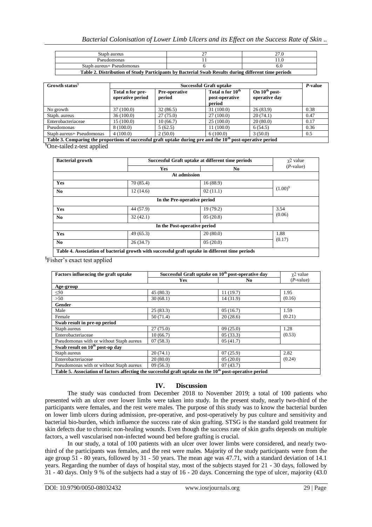| Staph aureus                                                                                        |  |  |  |  |
|-----------------------------------------------------------------------------------------------------|--|--|--|--|
| Pseudomonas                                                                                         |  |  |  |  |
| Staph aureus+ Pseudomonas                                                                           |  |  |  |  |
| Table 2. Distribution of Study Participants by Bacterial Swab Results during different time periods |  |  |  |  |

| Growth status <sup>§</sup>                                                                                              | Successful Graft uptake              |                         |                                                          |                                     | P-value |
|-------------------------------------------------------------------------------------------------------------------------|--------------------------------------|-------------------------|----------------------------------------------------------|-------------------------------------|---------|
|                                                                                                                         | Total n for pre-<br>operative period | Pre-operative<br>period | Total n for 10 <sup>th</sup><br>post-operative<br>period | On $10^{th}$ post-<br>operative day |         |
| No growth                                                                                                               | 37(100.0)                            | 32(86.5)                | 31(100.0)                                                | 26(83.9)                            | 0.38    |
| Staph. aureus                                                                                                           | 36(100.0)                            | 27(75.0)                | 27(100.0)                                                | 20(74.1)                            | 0.47    |
| Enterobacteriaceae                                                                                                      | 15 (100.0)                           | 10(66.7)                | 25(100.0)                                                | 20(80.0)                            | 0.17    |
| Pseudomonas                                                                                                             | 8 (100.0)                            | 5(62.5)                 | 11(100.0)                                                | 6(54.5)                             | 0.36    |
| Staph aureus+ Pseudomonas                                                                                               | 4(100.0)                             | 2(50.0)                 | 6(100.0)                                                 | 3(50.0)                             | 0.5     |
| Table 3. Comparing the proportions of successful graft uptake during pre and the 10 <sup>th</sup> post-operative period |                                      |                         |                                                          |                                     |         |

§One-tailed z-test applied

| <b>Bacterial growth</b>      | Successful Graft uptake at different time periods |                                                                                                 | $\chi$ 2 value |  |
|------------------------------|---------------------------------------------------|-------------------------------------------------------------------------------------------------|----------------|--|
|                              | <b>Yes</b>                                        | No.                                                                                             | $(P$ -value)   |  |
|                              |                                                   | At admission                                                                                    |                |  |
| Yes                          | 70(85.4)                                          | 16(88.9)                                                                                        |                |  |
| No.                          | 12(14.6)                                          | 02(11.1)                                                                                        | $(1.00)^8$     |  |
|                              |                                                   | In the Pre-operative period                                                                     |                |  |
| Yes                          | 44 (57.9)                                         | 19(79.2)                                                                                        | 3.54           |  |
| N <sub>0</sub>               | 32(42.1)                                          | 05(20.8)                                                                                        | (0.06)         |  |
| In the Post-operative period |                                                   |                                                                                                 |                |  |
| Yes                          | 49(65.3)                                          | 20(80.0)                                                                                        | 1.88           |  |
| N <sub>0</sub>               | 26(34.7)                                          | 05(20.0)                                                                                        | (0.17)         |  |
|                              |                                                   | Table 4. Association of bacterial growth with successful graft uptake in different time periods |                |  |

§ Fisher's exact test applied

| Factors influencing the graft uptake                                                                                | Successful Graft uptake on 10 <sup>th</sup> post-operative day |           | $\chi$ 2 value |  |  |
|---------------------------------------------------------------------------------------------------------------------|----------------------------------------------------------------|-----------|----------------|--|--|
|                                                                                                                     | Yes                                                            | No.       | $(P$ -value)   |  |  |
| Age-group                                                                                                           |                                                                |           |                |  |  |
| $\leq 50$                                                                                                           | 45(80.3)                                                       | 11(19.7)  | 1.95           |  |  |
| >50                                                                                                                 | 30(68.1)                                                       | 14 (31.9) | (0.16)         |  |  |
| Gender                                                                                                              |                                                                |           |                |  |  |
| Male                                                                                                                | 25(83.3)                                                       | 05(16.7)  | 1.59           |  |  |
| Female                                                                                                              | 50(71.4)                                                       | 20(28.6)  | (0.21)         |  |  |
| Swab result in pre-op period                                                                                        |                                                                |           |                |  |  |
| Staph aureus                                                                                                        | 27(75.0)                                                       | 09(25.0)  | 1.28           |  |  |
| Enterobacteriaceae                                                                                                  | 10(66.7)                                                       | 05(33.3)  | (0.53)         |  |  |
| Pseudomonas with or without Staph aureus                                                                            | 07(58.3)                                                       | 05(41.7)  |                |  |  |
| Swab result on 10 <sup>th</sup> post-op day                                                                         |                                                                |           |                |  |  |
| Staph aureus                                                                                                        | 20(74.1)                                                       | 07(25.9)  | 2.82           |  |  |
| Enterobacteriaceae                                                                                                  | 20(80.0)                                                       | 05(20.0)  | (0.24)         |  |  |
| Pseudomonas with or without Staph aureus                                                                            | 09(56.3)                                                       | 07(43.7)  |                |  |  |
| Table 5. Association of factors affecting the successful graft uptake on the 10 <sup>th</sup> post-operative period |                                                                |           |                |  |  |

#### **IV. Discussion**

The study was conducted from December 2018 to November 2019; a total of 100 patients who presented with an ulcer over lower limbs were taken into study. In the present study, nearly two-third of the participants were females, and the rest were males. The purpose of this study was to know the bacterial burden on lower limb ulcers during admission, pre-operative, and post-operatively by pus culture and sensitivity and bacterial bio-burden, which influence the success rate of skin grafting. STSG is the standard gold treatment for skin defects due to chronic non-healing wounds. Even though the success rate of skin grafts depends on multiple factors, a well vascularised non-infected wound bed before grafting is crucial.

In our study, a total of 100 patients with an ulcer over lower limbs were considered, and nearly twothird of the participants was females, and the rest were males. Majority of the study participants were from the age group 51 - 80 years, followed by 31 - 50 years. The mean age was 47.71, with a standard deviation of 14.1 years. Regarding the number of days of hospital stay, most of the subjects stayed for 21 - 30 days, followed by 31 - 40 days. Only 9 % of the subjects had a stay of 16 - 20 days. Concerning the type of ulcer, majority (43.0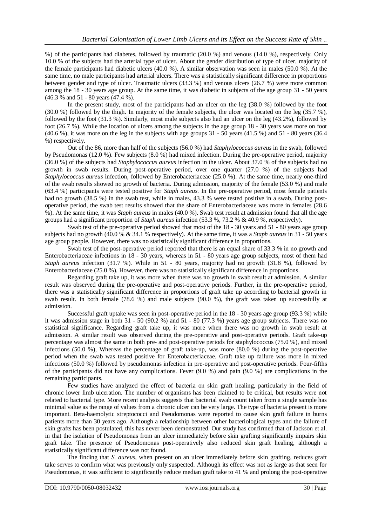%) of the participants had diabetes, followed by traumatic (20.0 %) and venous (14.0 %), respectively. Only 10.0 % of the subjects had the arterial type of ulcer. About the gender distribution of type of ulcer, majority of the female participants had diabetic ulcers (40.0 %). A similar observation was seen in males (50.0 %). At the same time, no male participants had arterial ulcers. There was a statistically significant difference in proportions between gender and type of ulcer. Traumatic ulcers (33.3 %) and venous ulcers (26.7 %) were more common among the 18 - 30 years age group. At the same time, it was diabetic in subjects of the age group 31 - 50 years (46.3 % and 51 - 80 years (47.4 %).

In the present study, most of the participants had an ulcer on the leg (38.0 %) followed by the foot (30.0 %) followed by the thigh. In majority of the female subjects, the ulcer was located on the leg (35.7 %), followed by the foot (31.3 %). Similarly, most male subjects also had an ulcer on the leg (43.2%), followed by foot (26.7 %). While the location of ulcers among the subjects in the age group 18 - 30 years was more on foot  $(40.6\%)$ , it was more on the leg in the subjects with age groups 31 - 50 years  $(41.5\%)$  and 51 - 80 years  $(36.4\%)$ %) respectively.

Out of the 86, more than half of the subjects (56.0 %) had *Staphylococcus aureus* in the swab, followed by Pseudomonas (12.0 %). Few subjects (8.0 %) had mixed infection. During the pre-operative period, majority (36.0 %) of the subjects had *Staphylococcus aureus* infection in the ulcer. About 37.0 % of the subjects had no growth in swab results. During post-operative period, over one quarter (27.0 %) of the subjects had *Staphylococcus aureus* infection, followed by Enterobacteriaceae (25.0 %). At the same time, nearly one-third of the swab results showed no growth of bacteria. During admission, majority of the female (53.0 %) and male (63.4 %) participants were tested positive for *Staph aureus*. In the pre-operative period, most female patients had no growth (38.5 %) in the swab test, while in males, 43.3 % were tested positive in a swab. During postoperative period, the swab test results showed that the share of Enterobacteriaceae was more in females (28.6 %). At the same time, it was *Staph aureus* in males (40.0 %). Swab test result at admission found that all the age groups had a significant proportion of *Staph aureus* infection (53.3 %, 73.2 % & 40.9 %, respectively).

Swab test of the pre-operative period showed that most of the 18 - 30 years and 51 - 80 years age group subjects had no growth (40.0 % & 34.1 % respectively). At the same time, it was a *Staph aureus* in 31 - 50 years age group people. However, there was no statistically significant difference in proportions.

Swab test of the post-operative period reported that there is an equal share of 33.3 % in no growth and Enterobacteriaceae infections in 18 - 30 years, whereas in 51 - 80 years age group subjects, most of them had *Staph aureus* infection (31.7 %). While in 51 - 80 years, majority had no growth (31.8 %), followed by Enterobacteriaceae (25.0 %). However, there was no statistically significant difference in proportions.

Regarding graft take up, it was more when there was no growth in swab result at admission. A similar result was observed during the pre-operative and post-operative periods. Further, in the pre-operative period, there was a statistically significant difference in proportions of graft take up according to bacterial growth in swab result. In both female (78.6 %) and male subjects (90.0 %), the graft was taken up successfully at admission.

Successful graft uptake was seen in post-operative period in the 18 - 30 years age group (93.3 %) while it was admission stage in both  $31 - 50$  (90.2 %) and  $51 - 80$  (77.3 %) years age group subjects. There was no statistical significance. Regarding graft take up, it was more when there was no growth in swab result at admission. A similar result was observed during the pre-operative and post-operative periods. Graft take-up percentage was almost the same in both pre- and post-operative periods for staphylococcus (75.0 %), and mixed infections (50.0 %), Whereas the percentage of graft take-up, was more (80.0 %) during the post-operative period when the swab was tested positive for Enterobacteriaceae. Graft take up failure was more in mixed infections (50.0 %) followed by pseudomonas infection in pre-operative and post-operative periods. Four-fifths of the participants did not have any complications. Fever (9.0 %) and pain (9.0 %) are complications in the remaining participants.

Few studies have analyzed the effect of bacteria on skin graft healing, particularly in the field of chronic lower limb ulceration. The number of organisms has been claimed to be critical, but results were not related to bacterial type. More recent analysis suggests that bacterial swab count taken from a single sample has minimal value as the range of values from a chronic ulcer can be very large. The type of bacteria present is more important. Beta-haemolytic streptococci and Pseudomonas were reported to cause skin graft failure in burns patients more than 30 years ago. Although a relationship between other bacteriological types and the failure of skin grafts has been postulated, this has never been demonstrated. Our study has confirmed that of Jackson et al. in that the isolation of Pseudomonas from an ulcer immediately before skin grafting significantly impairs skin graft take. The presence of Pseudomonas post-operatively also reduced skin graft healing, although a statistically significant difference was not found.

The finding that *S. aureus*, when present on an ulcer immediately before skin grafting, reduces graft take serves to confirm what was previously only suspected. Although its effect was not as large as that seen for Pseudomonas, it was sufficient to significantly reduce median graft take to 41 % and prolong the post-operative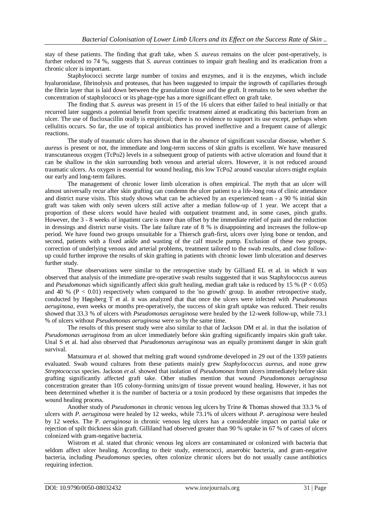stay of these patients. The finding that graft take, when *S. aureus* remains on the ulcer post-operatively, is further reduced to 74 %, suggests that *S. aureus* continues to impair graft healing and its eradication from a chronic ulcer is important.

Staphylococci secrete large number of toxins and enzymes, and it is the enzymes, which include hyaluronidase, fibrinolysis and proteases, that has been suggested to impair the ingrowth of capillaries through the fibrin layer that is laid down between the granulation tissue and the graft. It remains to be seen whether the concentration of staphylococci or its phage-type has a more significant effect on graft take.

The finding that *S. aureus* was present in 15 of the 16 ulcers that either failed to heal initially or that recurred later suggests a potential benefit from specific treatment aimed at eradicating this bacterium from an ulcer. The use of flucloxacillin orally is empirical; there is no evidence to support its use except, perhaps when cellulitis occurs. So far, the use of topical antibiotics has proved ineffective and a frequent cause of allergic reactions.

The study of traumatic ulcers has shown that in the absence of significant vascular disease, whether *S. aureus* is present or not, the immediate and long-term success of skin grafts is excellent. We have measured transcutaneous oxygen (TcPo2) levels in a subsequent group of patients with active ulceration and found that it can be shallow in the skin surrounding both venous and arterial ulcers. However, it is not reduced around traumatic ulcers. As oxygen is essential for wound healing, this low TcPo2 around vascular ulcers might explain our early and long-term failures.

The management of chronic lower limb ulceration is often empirical. The myth that an ulcer will almost universally recur after skin grafting can condemn the ulcer patient to a life-long rota of clinic attendance and district nurse visits. This study shows what can be achieved by an experienced team - a 90 % initial skin graft was taken with only seven ulcers still active after a median follow-up of 1 year. We accept that a proportion of these ulcers would have healed with outpatient treatment and, in some cases, pinch grafts. However, the 3 - 8 weeks of inpatient care is more than offset by the immediate relief of pain and the reduction in dressings and district nurse visits. The late failure rate of 8 % is disappointing and increases the follow-up period. We have found two groups unsuitable for a Thiersch graft-first, ulcers over lying bone or tendon, and second, patients with a fixed ankle and wasting of the calf muscle pump. Exclusion of these two groups, correction of underlying venous and arterial problems, treatment tailored to the swab results, and close followup could further improve the results of skin grafting in patients with chronic lower limb ulceration and deserves further study.

These observations were similar to the retrospective study by Gilliand EL et al. in which it was observed that analysis of the immediate pre-operative swab results suggested that it was Staphylococcus aureus and *Pseudomonas* which significantly affect skin graft healing, median graft take is reduced by 15 % (P < 0.05) and 40 % ( $P < 0.01$ ) respectively when compared to the 'no growth' group. In another retrospective study, conducted by Høgsberg T et al. it was analyzed that that once the ulcers were infected with *Pseudomonas aeruginosa*, even weeks or months pre-operatively, the success of skin graft uptake was reduced. Their results showed that 33.3 % of ulcers with *Pseudomonas aeruginosa* were healed by the 12-week follow-up, while 73.1 % of ulcers without *Pseudomonas aeruginosa* were so by the same time.

The results of this present study were also similar to that of Jackson DM et al. in that the isolation of *Pseudomonas aeruginosa* from an ulcer immediately before skin grafting significantly impairs skin graft take. Unal S et al. had also observed that *Pseudomonas aeruginosa* was an equally prominent danger in skin graft survival.

Matsumura *et al*. showed that melting graft wound syndrome developed in 29 out of the 1359 patients evaluated. Swab wound cultures from these patients mainly grew *Staphylococcus aureus*, and none grew *Streptococcus* species. Jackson *et al*. showed that isolation of *Pseudomonas* from ulcers immediately before skin grafting significantly affected graft take. Other studies mention that wound *Pseudomonas aeruginosa*  concentration greater than 105 colony-forming units/gm of tissue prevent wound healing. However, it has not been determined whether it is the number of bacteria or a toxin produced by these organisms that impedes the wound healing process.

Another study of *Pseudomonas* in chronic venous leg ulcers by Trine & Thomas showed that 33.3 % of ulcers with *P. aeruginosa* were healed by 12 weeks, while 73.1% of ulcers without *P. aeruginosa* were healed by 12 weeks. The P. *aeruginosa* in chronic venous leg ulcers has a considerable impact on partial take or rejection of spilt thickness skin graft. Gilliland had observed greater than 90 % uptake in 67 % of cases of ulcers colonized with gram-negative bacteria.

Wistrom et al. stated that chronic venous leg ulcers are contaminated or colonized with bacteria that seldom affect ulcer healing. According to their study, enterococci, anaerobic bacteria, and gram-negative bacteria, including *Pseudomonas* species, often colonize chronic ulcers but do not usually cause antibiotics requiring infection.